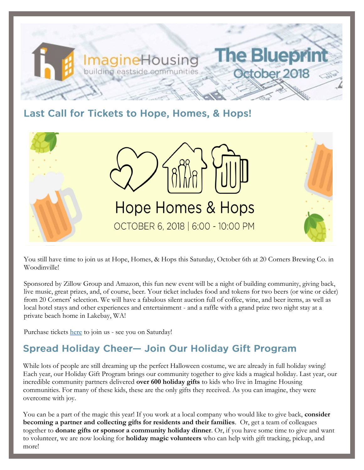

### Last Call for Tickets to Hope, Homes, & Hops!



You still have time to join us at Hope, Homes, & Hops this Saturday, October 6th at 20 Corners Brewing Co. in Woodinville!

Sponsored by Zillow Group and Amazon, this fun new event will be a night of building community, giving back, live music, great prizes, and, of course, beer. Your ticket includes food and tokens for two beers (or wine or cider) from 20 Corners' selection. We will have a fabulous silent auction full of coffee, wine, and beer items, as well as local hotel stays and other experiences and entertainment - and a raffle with a grand prize two night stay at a private beach home in Lakebay, WA!

Purchase tickets [here](https://one.bidpal.net/ypbimagine/ticketing(details:ticketing-summary)) to join us - see you on Saturday!

## **Spread Holiday Cheer- Join Our Holiday Gift Program**

While lots of people are still dreaming up the perfect Halloween costume, we are already in full holiday swing! Each year, our Holiday Gift Program brings our community together to give kids a magical holiday. Last year, our incredible community partners delivered **over 600 holiday gifts** to kids who live in Imagine Housing communities. For many of these kids, these are the only gifts they received. As you can imagine, they were overcome with joy.

You can be a part of the magic this year! If you work at a local company who would like to give back, **consider becoming a partner and collecting gifts for residents and their families**. Or, get a team of colleagues together to **donate gifts or sponsor a community holiday dinner**. Or, if you have some time to give and want to volunteer, we are now looking for **holiday magic volunteers** who can help with gift tracking, pickup, and more!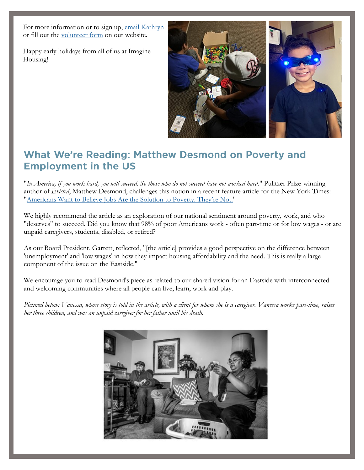For more information or to sign up, [email Kathryn](mailto:kathrynj@imaginehousing.org) or fill out the [volunteer form](https://imaginehousing.org/get-involved/volunteer/) on our website.

Happy early holidays from all of us at Imagine Housing!



### What We're Reading: Matthew Desmond on Poverty and **Employment in the US**

"*In America, if you work hard, you will succeed. So those who do not succeed have not worked hard.*" Pulitzer Prize-winning author of *Evicted*, Matthew Desmond, challenges this notion in a recent feature article for the New York Times: "[Americans Want to Believe Jobs Are the Solution to Poverty. They're Not.](https://www.nytimes.com/2018/09/11/magazine/americans-jobs-poverty-homeless.html?action=click&module=Top%20Stories&pgtype=Homepage)"

We highly recommend the article as an exploration of our national sentiment around poverty, work, and who "deserves" to succeed. Did you know that 98% of poor Americans work - often part-time or for low wages - or are unpaid caregivers, students, disabled, or retired?

As our Board President, Garrett, reflected, "[the article] provides a good perspective on the difference between 'unemployment' and 'low wages' in how they impact housing affordability and the need. This is really a large component of the issue on the Eastside."

We encourage you to read Desmond's piece as related to our shared vision for an Eastside with interconnected and welcoming communities where all people can live, learn, work and play.

*Pictured below: Vanessa, whose story is told in the article, with a client for whom she is a caregiver. Vanessa works part-time, raises her three children, and was an unpaid caregiver for her father until his death.*